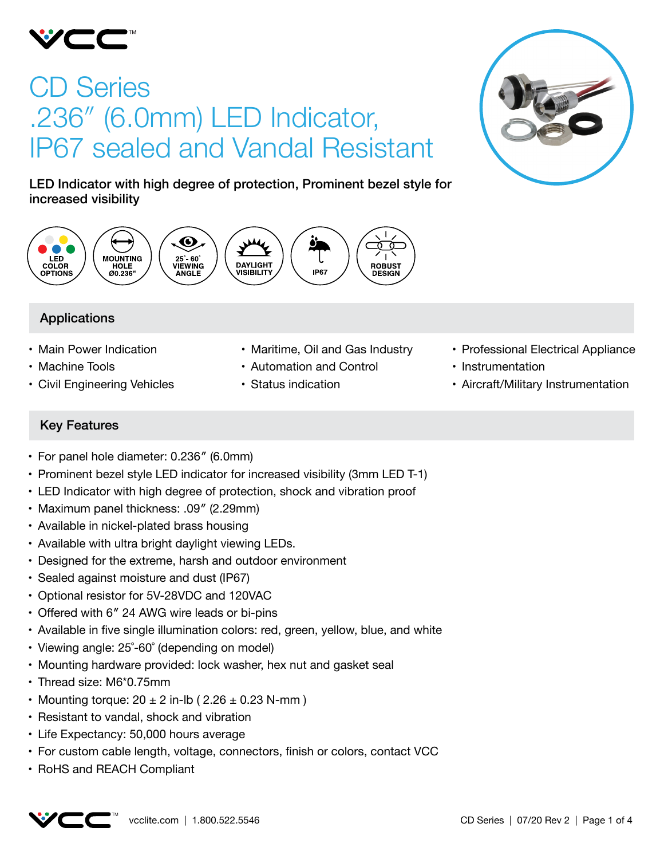

# CD Series .236″ (6.0mm) LED Indicator, IP67 sealed and Vandal Resistant



LED Indicator with high degree of protection, Prominent bezel style for increased visibility



# Applications

- Main Power Indication
- Machine Tools
- • Civil Engineering Vehicles
- Maritime, Oil and Gas Industry
- • Automation and Control
- • Status indication
- Professional Electrical Appliance
- Instrumentation
- Aircraft/Military Instrumentation

# Key Features

- For panel hole diameter: 0.236" (6.0mm)
- Prominent bezel style LED indicator for increased visibility (3mm LED T-1)
- LED Indicator with high degree of protection, shock and vibration proof
- Maximum panel thickness: .09" (2.29mm)
- Available in nickel-plated brass housing
- Available with ultra bright daylight viewing LEDs.
- Designed for the extreme, harsh and outdoor environment
- Sealed against moisture and dust (IP67)
- • Optional resistor for 5V-28VDC and 120VAC
- Offered with 6" 24 AWG wire leads or bi-pins
- • Available in five single illumination colors: red, green, yellow, blue, and white
- Viewing angle: 25°-60° (depending on model)
- Mounting hardware provided: lock washer, hex nut and gasket seal
- Thread size: M6\*0.75mm
- Mounting torque:  $20 \pm 2$  in-lb (  $2.26 \pm 0.23$  N-mm )
- Resistant to vandal, shock and vibration
- Life Expectancy: 50,000 hours average
- For custom cable length, voltage, connectors, finish or colors, contact VCC
- RoHS and REACH Compliant

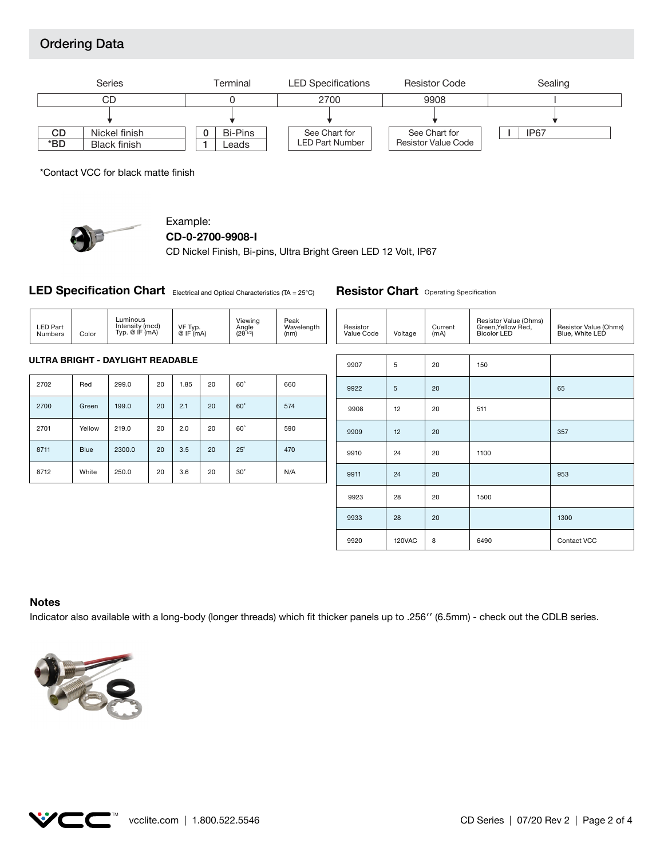# Ordering Data



\*Contact VCC for black matte finish



# Example:

```
CD-0-2700-9908-I
```
CD Nickel Finish, Bi-pins, Ultra Bright Green LED 12 Volt, IP67

**LED Specification Chart** Electrical and Optical Characteristics (TA = 25°C)

| <b>LED Part</b><br>Numbers       | Color | Luminous<br>Intensity (mcd)<br>Typ. $@$ IF $(mA)$ |    | VF Typ.<br>$@$ IF $(mA)$ |    | Viewing<br>Angle<br>$(2\theta^{1/2})$ | Peak<br>Wavelength<br>(nm) |  | Resistor<br>Value Code | Voltage | Current<br>(mA) | Resisto<br>Green,<br>Bicolor |
|----------------------------------|-------|---------------------------------------------------|----|--------------------------|----|---------------------------------------|----------------------------|--|------------------------|---------|-----------------|------------------------------|
|                                  |       |                                                   |    |                          |    |                                       |                            |  |                        |         |                 |                              |
| ULTRA BRIGHT - DAYLIGHT READABLE |       |                                                   |    |                          |    |                                       |                            |  | 9907                   | b       | 20              | 150                          |
| 2702                             | Red   | 299.0                                             | 20 | 1.85                     | 20 | $60^\circ$                            | 660                        |  | nnnn                   |         | n <sub>n</sub>  |                              |

| 2700 | Green       | 199.0  | 20 | 2.1 | 20 | $60^\circ$ | 574 |
|------|-------------|--------|----|-----|----|------------|-----|
| 2701 | Yellow      | 219.0  | 20 | 2.0 | 20 | $60^\circ$ | 590 |
| 8711 | <b>Blue</b> | 2300.0 | 20 | 3.5 | 20 | $25^\circ$ | 470 |
| 8712 | White       | 250.0  | 20 | 3.6 | 20 | $30^\circ$ | N/A |

| Resistor<br>Value Code | Voltage | Current<br>(mA) | Resistor Value (Ohms)<br>Green, Yellow Red,<br><b>Bicolor LED</b> | Resistor Value (Ohms)<br>Blue, White LED |
|------------------------|---------|-----------------|-------------------------------------------------------------------|------------------------------------------|
|                        |         |                 |                                                                   |                                          |
| 9907                   | 5       | 20              | 150                                                               |                                          |
| 9922                   | 5       | 20              |                                                                   | 65                                       |
| 9908                   | 12      | 20              | 511                                                               |                                          |
| 9909                   | 12      | 20              |                                                                   | 357                                      |
| 9910                   | 24      | 20              | 1100                                                              |                                          |
| 9911                   | 24      | 20              |                                                                   | 953                                      |
| 9923                   | 28      | 20              | 1500                                                              |                                          |
| 9933                   | 28      | 20              |                                                                   | 1300                                     |
| 9920                   | 120VAC  | 8               | 6490                                                              | Contact VCC                              |

**Resistor Chart** Operating Specification

#### **Notes**

Indicator also available with a long-body (longer threads) which fit thicker panels up to .256′′ (6.5mm) - check out the CDLB series.



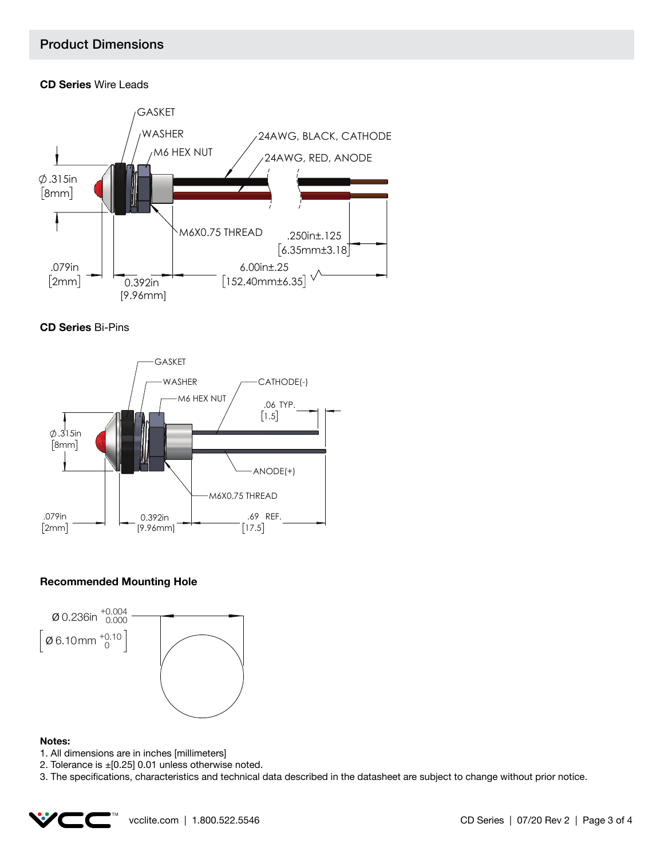## Product Dimensions

## **CD Series** Wire Leads







## **Recommended Mounting Hole**



#### **Notes:**

- 1. All dimensions are in inches [millimeters]
- 2. Tolerance is ±[0.25] 0.01 unless otherwise noted.

3. The specifications, characteristics and technical data described in the datasheet are subject to change without prior notice.